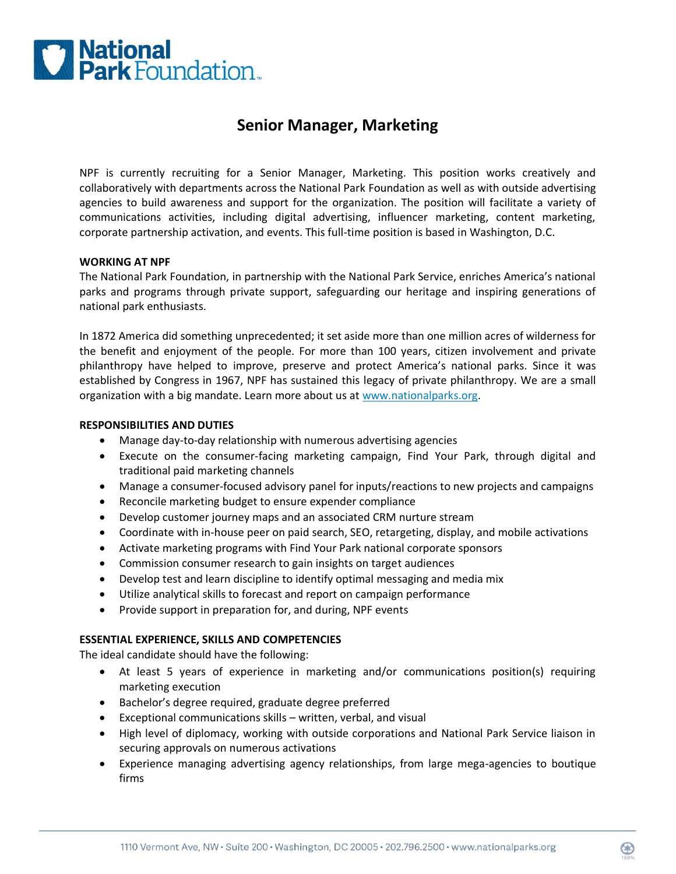

# **Senior Manager, Marketing**

NPF is currently recruiting for a Senior Manager, Marketing. This position works creatively and collaboratively with departments across the National Park Foundation as well as with outside advertising agencies to build awareness and support for the organization. The position will facilitate a variety of communications activities, including digital advertising, influencer marketing, content marketing, corporate partnership activation, and events. This full-time position is based in Washington, D.C.

### **WORKING AT NPF**

The National Park Foundation, in partnership with the National Park Service, enriches America's national parks and programs through private support, safeguarding our heritage and inspiring generations of national park enthusiasts.

In 1872 America did something unprecedented; it set aside more than one million acres of wilderness for the benefit and enjoyment of the people. For more than 100 years, citizen involvement and private philanthropy have helped to improve, preserve and protect America's national parks. Since it was established by Congress in 1967, NPF has sustained this legacy of private philanthropy. We are a small organization with a big mandate. Learn more about us at [www.nationalparks.org.](http://www.nationalparks.org/)

#### **RESPONSIBILITIES AND DUTIES**

- Manage day-to-day relationship with numerous advertising agencies
- Execute on the consumer-facing marketing campaign, Find Your Park, through digital and traditional paid marketing channels
- Manage a consumer-focused advisory panel for inputs/reactions to new projects and campaigns
- Reconcile marketing budget to ensure expender compliance
- Develop customer journey maps and an associated CRM nurture stream
- Coordinate with in-house peer on paid search, SEO, retargeting, display, and mobile activations
- Activate marketing programs with Find Your Park national corporate sponsors
- Commission consumer research to gain insights on target audiences
- Develop test and learn discipline to identify optimal messaging and media mix
- Utilize analytical skills to forecast and report on campaign performance
- Provide support in preparation for, and during, NPF events

# **ESSENTIAL EXPERIENCE, SKILLS AND COMPETENCIES**

The ideal candidate should have the following:

- At least 5 years of experience in marketing and/or communications position(s) requiring marketing execution
- Bachelor's degree required, graduate degree preferred
- Exceptional communications skills written, verbal, and visual
- High level of diplomacy, working with outside corporations and National Park Service liaison in securing approvals on numerous activations
- Experience managing advertising agency relationships, from large mega-agencies to boutique firms